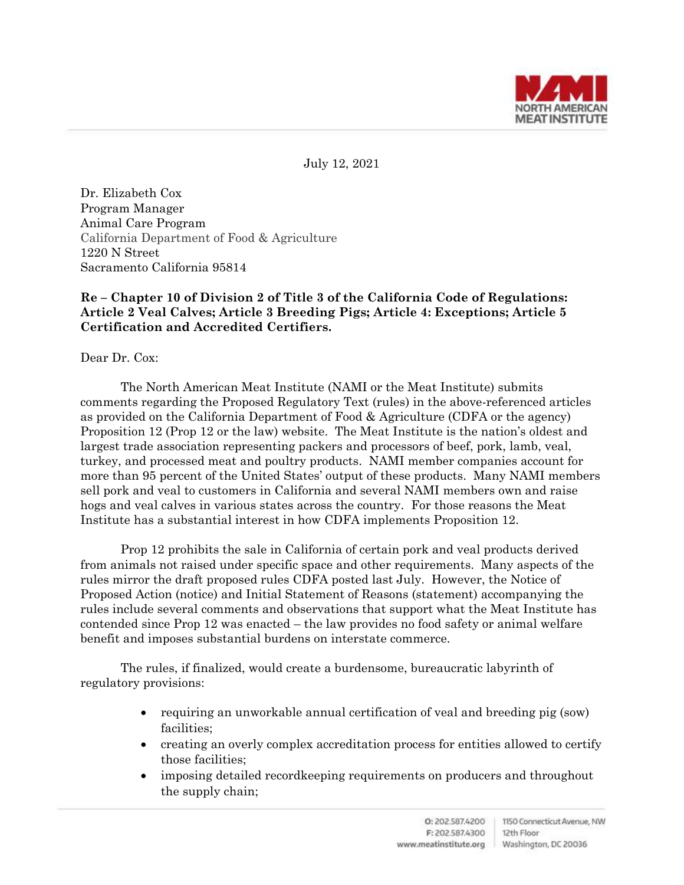

July 12, 2021

Dr. Elizabeth Cox Program Manager Animal Care Program California Department of Food & Agriculture 1220 N Street Sacramento California 95814

# **Re – Chapter 10 of Division 2 of Title 3 of the California Code of Regulations: Article 2 Veal Calves; Article 3 Breeding Pigs; Article 4: Exceptions; Article 5 Certification and Accredited Certifiers.**

Dear Dr. Cox:

The North American Meat Institute (NAMI or the Meat Institute) submits comments regarding the Proposed Regulatory Text (rules) in the above-referenced articles as provided on the California Department of Food & Agriculture (CDFA or the agency) Proposition 12 (Prop 12 or the law) website. The Meat Institute is the nation's oldest and largest trade association representing packers and processors of beef, pork, lamb, veal, turkey, and processed meat and poultry products. NAMI member companies account for more than 95 percent of the United States' output of these products. Many NAMI members sell pork and veal to customers in California and several NAMI members own and raise hogs and veal calves in various states across the country. For those reasons the Meat Institute has a substantial interest in how CDFA implements Proposition 12.

Prop 12 prohibits the sale in California of certain pork and veal products derived from animals not raised under specific space and other requirements. Many aspects of the rules mirror the draft proposed rules CDFA posted last July. However, the Notice of Proposed Action (notice) and Initial Statement of Reasons (statement) accompanying the rules include several comments and observations that support what the Meat Institute has contended since Prop 12 was enacted – the law provides no food safety or animal welfare benefit and imposes substantial burdens on interstate commerce.

The rules, if finalized, would create a burdensome, bureaucratic labyrinth of regulatory provisions:

- requiring an unworkable annual certification of veal and breeding pig (sow) facilities;
- creating an overly complex accreditation process for entities allowed to certify those facilities;
- imposing detailed recordkeeping requirements on producers and throughout the supply chain;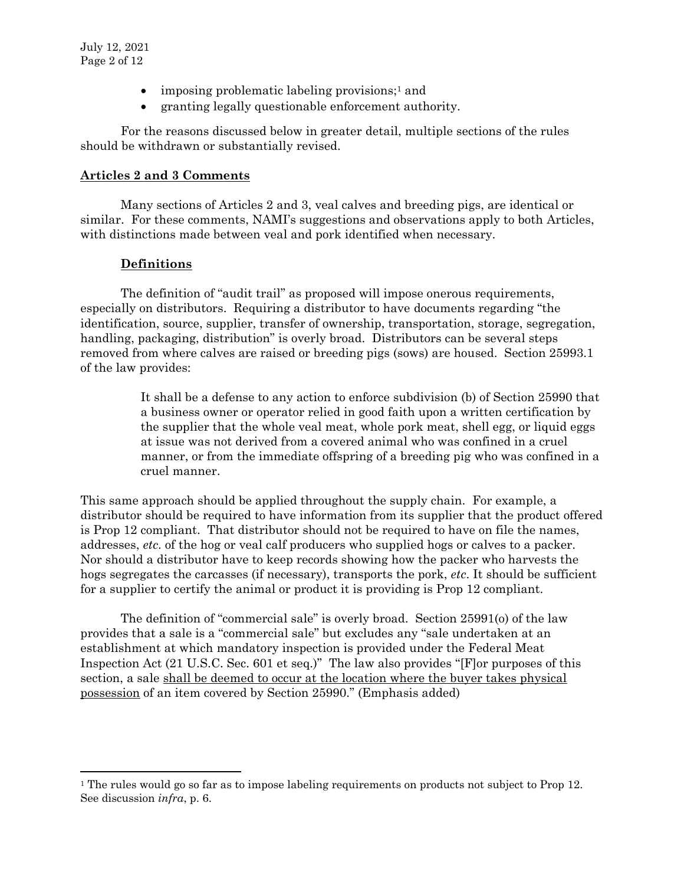- imposing problematic labeling provisions;<sup>1</sup> and
- granting legally questionable enforcement authority.

For the reasons discussed below in greater detail, multiple sections of the rules should be withdrawn or substantially revised.

## **Articles 2 and 3 Comments**

Many sections of Articles 2 and 3, veal calves and breeding pigs, are identical or similar. For these comments, NAMI's suggestions and observations apply to both Articles, with distinctions made between veal and pork identified when necessary.

## **Definitions**

 $\overline{a}$ 

The definition of "audit trail" as proposed will impose onerous requirements, especially on distributors. Requiring a distributor to have documents regarding "the identification, source, supplier, transfer of ownership, transportation, storage, segregation, handling, packaging, distribution" is overly broad. Distributors can be several steps removed from where calves are raised or breeding pigs (sows) are housed. Section 25993.1 of the law provides:

> It shall be a defense to any action to enforce subdivision (b) of Section 25990 that a business owner or operator relied in good faith upon a written certification by the supplier that the whole veal meat, whole pork meat, shell egg, or liquid eggs at issue was not derived from a covered animal who was confined in a cruel manner, or from the immediate offspring of a breeding pig who was confined in a cruel manner.

This same approach should be applied throughout the supply chain. For example, a distributor should be required to have information from its supplier that the product offered is Prop 12 compliant. That distributor should not be required to have on file the names, addresses, *etc*. of the hog or veal calf producers who supplied hogs or calves to a packer. Nor should a distributor have to keep records showing how the packer who harvests the hogs segregates the carcasses (if necessary), transports the pork, *etc*. It should be sufficient for a supplier to certify the animal or product it is providing is Prop 12 compliant.

The definition of "commercial sale" is overly broad. Section 25991(o) of the law provides that a sale is a "commercial sale" but excludes any "sale undertaken at an establishment at which mandatory inspection is provided under the Federal Meat Inspection Act (21 U.S.C. Sec. 601 et seq.)" The law also provides "[F]or purposes of this section, a sale shall be deemed to occur at the location where the buyer takes physical possession of an item covered by Section 25990." (Emphasis added)

<sup>&</sup>lt;sup>1</sup> The rules would go so far as to impose labeling requirements on products not subject to Prop 12. See discussion *infra*, p. 6.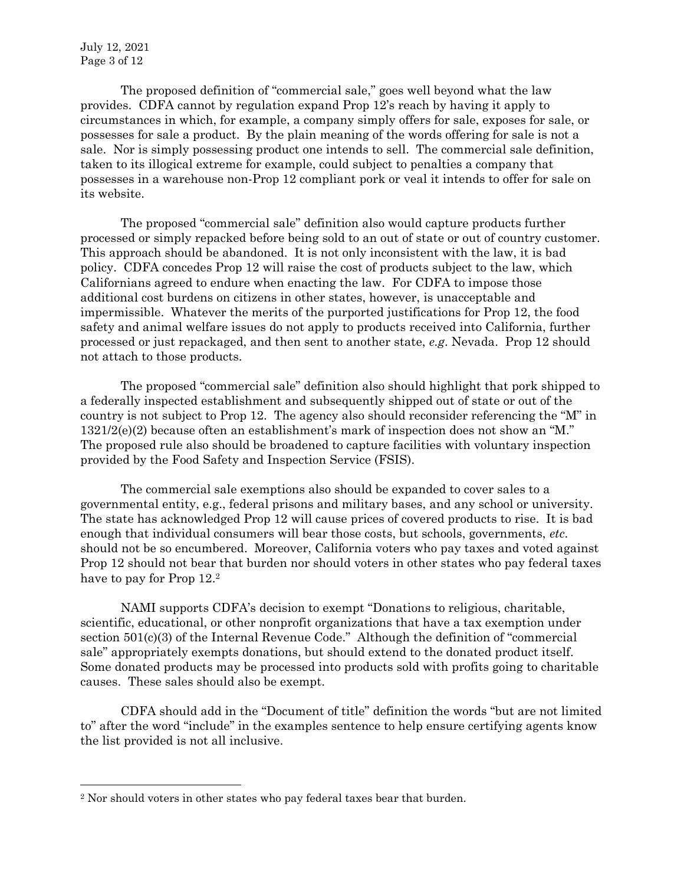July 12, 2021 Page 3 of 12

 $\overline{a}$ 

The proposed definition of "commercial sale," goes well beyond what the law provides. CDFA cannot by regulation expand Prop 12's reach by having it apply to circumstances in which, for example, a company simply offers for sale, exposes for sale, or possesses for sale a product. By the plain meaning of the words offering for sale is not a sale. Nor is simply possessing product one intends to sell. The commercial sale definition, taken to its illogical extreme for example, could subject to penalties a company that possesses in a warehouse non-Prop 12 compliant pork or veal it intends to offer for sale on its website.

The proposed "commercial sale" definition also would capture products further processed or simply repacked before being sold to an out of state or out of country customer. This approach should be abandoned. It is not only inconsistent with the law, it is bad policy. CDFA concedes Prop 12 will raise the cost of products subject to the law, which Californians agreed to endure when enacting the law. For CDFA to impose those additional cost burdens on citizens in other states, however, is unacceptable and impermissible. Whatever the merits of the purported justifications for Prop 12, the food safety and animal welfare issues do not apply to products received into California, further processed or just repackaged, and then sent to another state, *e.g*. Nevada. Prop 12 should not attach to those products.

The proposed "commercial sale" definition also should highlight that pork shipped to a federally inspected establishment and subsequently shipped out of state or out of the country is not subject to Prop 12. The agency also should reconsider referencing the "M" in  $1321/2(e)(2)$  because often an establishment's mark of inspection does not show an "M." The proposed rule also should be broadened to capture facilities with voluntary inspection provided by the Food Safety and Inspection Service (FSIS).

The commercial sale exemptions also should be expanded to cover sales to a governmental entity, e.g., federal prisons and military bases, and any school or university. The state has acknowledged Prop 12 will cause prices of covered products to rise. It is bad enough that individual consumers will bear those costs, but schools, governments, *etc*. should not be so encumbered. Moreover, California voters who pay taxes and voted against Prop 12 should not bear that burden nor should voters in other states who pay federal taxes have to pay for Prop  $12.^2$ 

NAMI supports CDFA's decision to exempt "Donations to religious, charitable, scientific, educational, or other nonprofit organizations that have a tax exemption under section 501(c)(3) of the Internal Revenue Code." Although the definition of "commercial sale" appropriately exempts donations, but should extend to the donated product itself. Some donated products may be processed into products sold with profits going to charitable causes. These sales should also be exempt.

CDFA should add in the "Document of title" definition the words "but are not limited to" after the word "include" in the examples sentence to help ensure certifying agents know the list provided is not all inclusive.

<sup>2</sup> Nor should voters in other states who pay federal taxes bear that burden.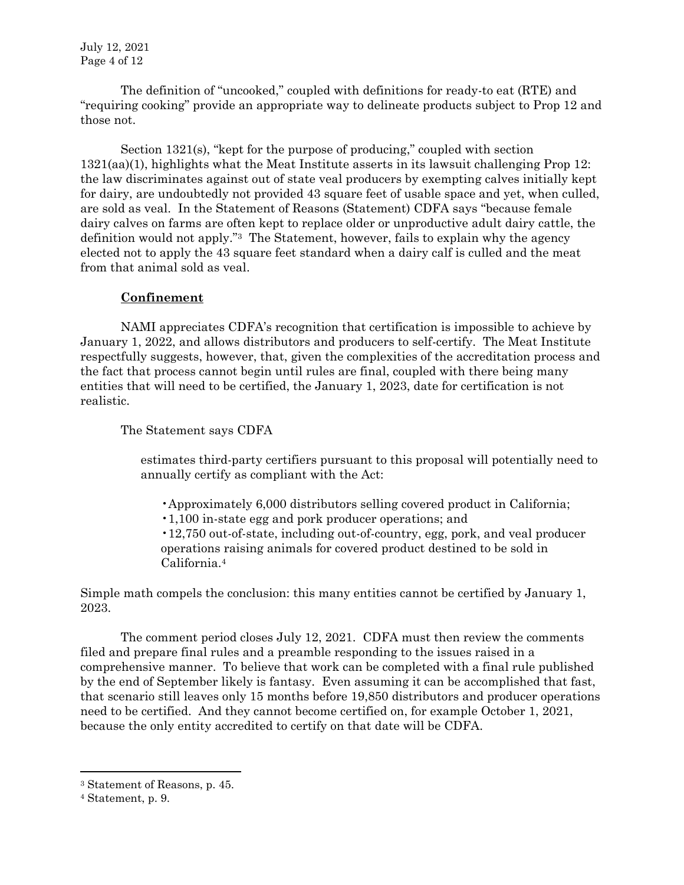July 12, 2021 Page 4 of 12

The definition of "uncooked," coupled with definitions for ready-to eat (RTE) and "requiring cooking" provide an appropriate way to delineate products subject to Prop 12 and those not.

Section 1321(s), "kept for the purpose of producing," coupled with section 1321(aa)(1), highlights what the Meat Institute asserts in its lawsuit challenging Prop 12: the law discriminates against out of state veal producers by exempting calves initially kept for dairy, are undoubtedly not provided 43 square feet of usable space and yet, when culled, are sold as veal. In the Statement of Reasons (Statement) CDFA says "because female dairy calves on farms are often kept to replace older or unproductive adult dairy cattle, the definition would not apply."<sup>3</sup> The Statement, however, fails to explain why the agency elected not to apply the 43 square feet standard when a dairy calf is culled and the meat from that animal sold as veal.

#### **Confinement**

NAMI appreciates CDFA's recognition that certification is impossible to achieve by January 1, 2022, and allows distributors and producers to self-certify. The Meat Institute respectfully suggests, however, that, given the complexities of the accreditation process and the fact that process cannot begin until rules are final, coupled with there being many entities that will need to be certified, the January 1, 2023, date for certification is not realistic.

The Statement says CDFA

estimates third-party certifiers pursuant to this proposal will potentially need to annually certify as compliant with the Act:

•Approximately 6,000 distributors selling covered product in California;

•1,100 in-state egg and pork producer operations; and

•12,750 out-of-state, including out-of-country, egg, pork, and veal producer operations raising animals for covered product destined to be sold in California.<sup>4</sup>

Simple math compels the conclusion: this many entities cannot be certified by January 1, 2023.

The comment period closes July 12, 2021. CDFA must then review the comments filed and prepare final rules and a preamble responding to the issues raised in a comprehensive manner. To believe that work can be completed with a final rule published by the end of September likely is fantasy. Even assuming it can be accomplished that fast, that scenario still leaves only 15 months before 19,850 distributors and producer operations need to be certified. And they cannot become certified on, for example October 1, 2021, because the only entity accredited to certify on that date will be CDFA.

<sup>3</sup> Statement of Reasons, p. 45.

<sup>4</sup> Statement, p. 9.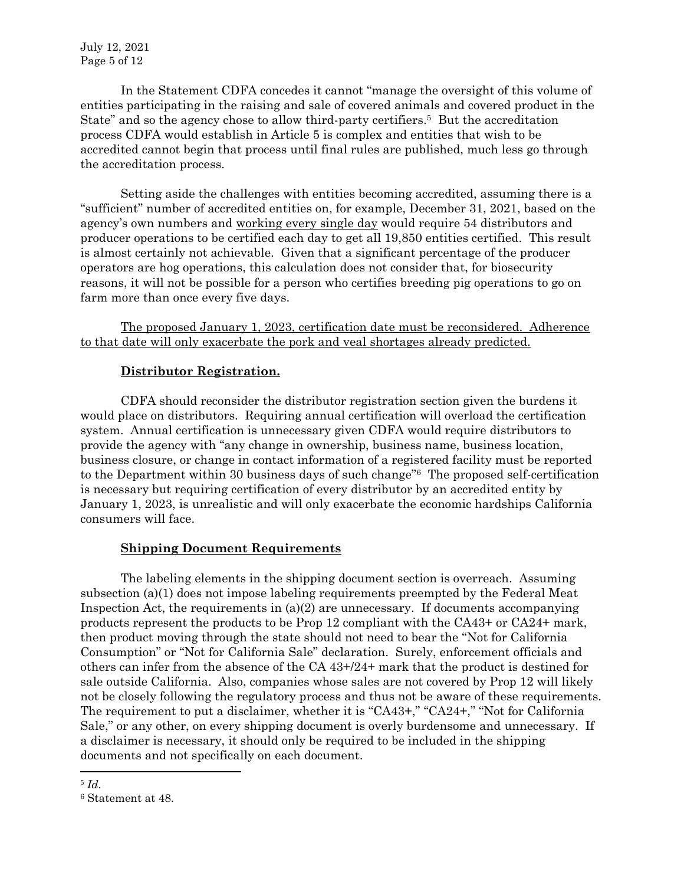In the Statement CDFA concedes it cannot "manage the oversight of this volume of entities participating in the raising and sale of covered animals and covered product in the State" and so the agency chose to allow third-party certifiers.<sup>5</sup> But the accreditation process CDFA would establish in Article 5 is complex and entities that wish to be accredited cannot begin that process until final rules are published, much less go through the accreditation process.

Setting aside the challenges with entities becoming accredited, assuming there is a "sufficient" number of accredited entities on, for example, December 31, 2021, based on the agency's own numbers and working every single day would require 54 distributors and producer operations to be certified each day to get all 19,850 entities certified. This result is almost certainly not achievable. Given that a significant percentage of the producer operators are hog operations, this calculation does not consider that, for biosecurity reasons, it will not be possible for a person who certifies breeding pig operations to go on farm more than once every five days.

The proposed January 1, 2023, certification date must be reconsidered. Adherence to that date will only exacerbate the pork and veal shortages already predicted.

# **Distributor Registration.**

CDFA should reconsider the distributor registration section given the burdens it would place on distributors. Requiring annual certification will overload the certification system. Annual certification is unnecessary given CDFA would require distributors to provide the agency with "any change in ownership, business name, business location, business closure, or change in contact information of a registered facility must be reported to the Department within 30 business days of such change"<sup>6</sup> The proposed self-certification is necessary but requiring certification of every distributor by an accredited entity by January 1, 2023, is unrealistic and will only exacerbate the economic hardships California consumers will face.

# **Shipping Document Requirements**

The labeling elements in the shipping document section is overreach. Assuming subsection (a)(1) does not impose labeling requirements preempted by the Federal Meat Inspection Act, the requirements in  $(a)(2)$  are unnecessary. If documents accompanying products represent the products to be Prop 12 compliant with the CA43+ or CA24+ mark, then product moving through the state should not need to bear the "Not for California Consumption" or "Not for California Sale" declaration. Surely, enforcement officials and others can infer from the absence of the CA 43+/24+ mark that the product is destined for sale outside California. Also, companies whose sales are not covered by Prop 12 will likely not be closely following the regulatory process and thus not be aware of these requirements. The requirement to put a disclaimer, whether it is "CA43+," "CA24+," "Not for California Sale," or any other, on every shipping document is overly burdensome and unnecessary. If a disclaimer is necessary, it should only be required to be included in the shipping documents and not specifically on each document.

<sup>5</sup> *Id*.

<sup>6</sup> Statement at 48.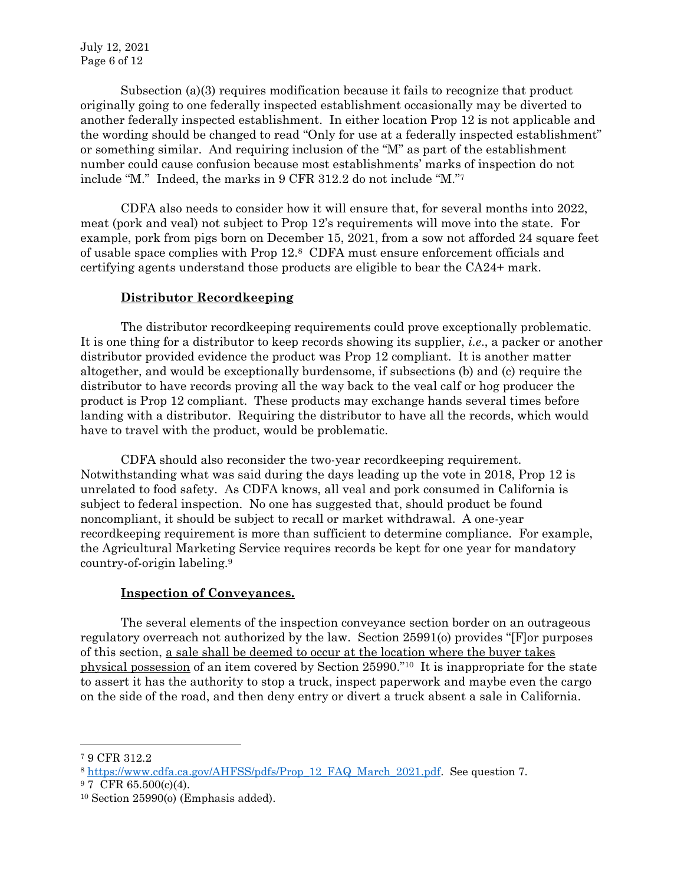Subsection (a)(3) requires modification because it fails to recognize that product originally going to one federally inspected establishment occasionally may be diverted to another federally inspected establishment. In either location Prop 12 is not applicable and the wording should be changed to read "Only for use at a federally inspected establishment" or something similar. And requiring inclusion of the "M" as part of the establishment number could cause confusion because most establishments' marks of inspection do not include "M." Indeed, the marks in 9 CFR 312.2 do not include "M."<sup>7</sup>

CDFA also needs to consider how it will ensure that, for several months into 2022, meat (pork and veal) not subject to Prop 12's requirements will move into the state. For example, pork from pigs born on December 15, 2021, from a sow not afforded 24 square feet of usable space complies with Prop 12.<sup>8</sup> CDFA must ensure enforcement officials and certifying agents understand those products are eligible to bear the CA24+ mark.

# **Distributor Recordkeeping**

The distributor recordkeeping requirements could prove exceptionally problematic. It is one thing for a distributor to keep records showing its supplier, *i.e*., a packer or another distributor provided evidence the product was Prop 12 compliant. It is another matter altogether, and would be exceptionally burdensome, if subsections (b) and (c) require the distributor to have records proving all the way back to the veal calf or hog producer the product is Prop 12 compliant. These products may exchange hands several times before landing with a distributor. Requiring the distributor to have all the records, which would have to travel with the product, would be problematic.

CDFA should also reconsider the two-year recordkeeping requirement. Notwithstanding what was said during the days leading up the vote in 2018, Prop 12 is unrelated to food safety. As CDFA knows, all veal and pork consumed in California is subject to federal inspection. No one has suggested that, should product be found noncompliant, it should be subject to recall or market withdrawal. A one-year recordkeeping requirement is more than sufficient to determine compliance. For example, the Agricultural Marketing Service requires records be kept for one year for mandatory country-of-origin labeling.<sup>9</sup>

### **Inspection of Conveyances.**

The several elements of the inspection conveyance section border on an outrageous regulatory overreach not authorized by the law. Section 25991(o) provides "[F]or purposes of this section, a sale shall be deemed to occur at the location where the buyer takes physical possession of an item covered by Section 25990."<sup>10</sup> It is inappropriate for the state to assert it has the authority to stop a truck, inspect paperwork and maybe even the cargo on the side of the road, and then deny entry or divert a truck absent a sale in California.

<sup>7</sup> 9 CFR 312.2

<sup>8</sup> [https://www.cdfa.ca.gov/AHFSS/pdfs/Prop\\_12\\_FAQ\\_March\\_2021.pdf.](https://www.cdfa.ca.gov/AHFSS/pdfs/Prop_12_FAQ_March_2021.pdf) See question 7.

<sup>9</sup> 7 CFR 65.500(c)(4).

<sup>10</sup> Section 25990(o) (Emphasis added).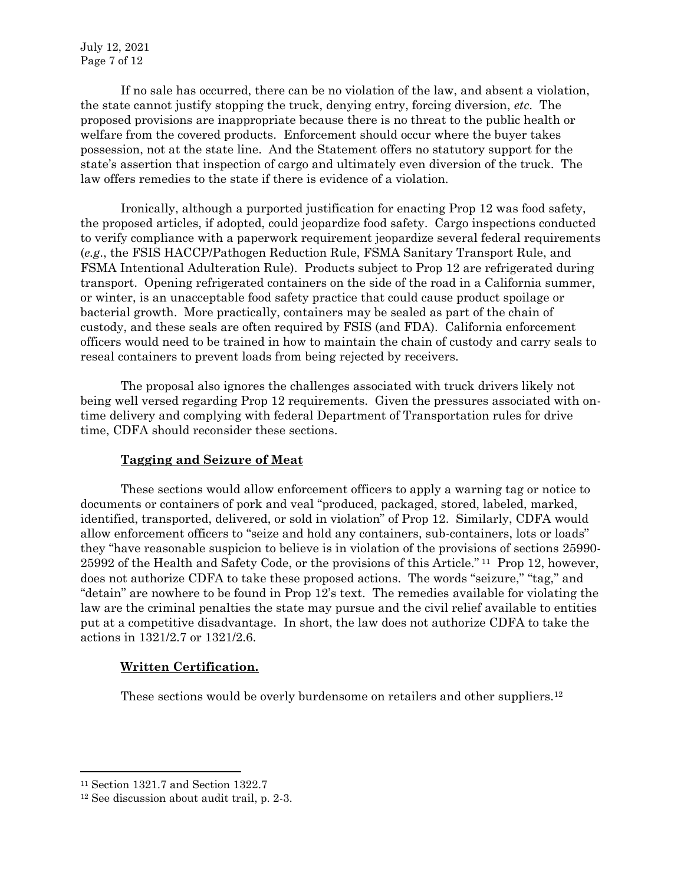If no sale has occurred, there can be no violation of the law, and absent a violation, the state cannot justify stopping the truck, denying entry, forcing diversion, *etc*. The proposed provisions are inappropriate because there is no threat to the public health or welfare from the covered products. Enforcement should occur where the buyer takes possession, not at the state line. And the Statement offers no statutory support for the state's assertion that inspection of cargo and ultimately even diversion of the truck. The law offers remedies to the state if there is evidence of a violation.

Ironically, although a purported justification for enacting Prop 12 was food safety, the proposed articles, if adopted, could jeopardize food safety. Cargo inspections conducted to verify compliance with a paperwork requirement jeopardize several federal requirements (*e.g*., the FSIS HACCP/Pathogen Reduction Rule, FSMA Sanitary Transport Rule, and FSMA Intentional Adulteration Rule). Products subject to Prop 12 are refrigerated during transport. Opening refrigerated containers on the side of the road in a California summer, or winter, is an unacceptable food safety practice that could cause product spoilage or bacterial growth. More practically, containers may be sealed as part of the chain of custody, and these seals are often required by FSIS (and FDA). California enforcement officers would need to be trained in how to maintain the chain of custody and carry seals to reseal containers to prevent loads from being rejected by receivers.

The proposal also ignores the challenges associated with truck drivers likely not being well versed regarding Prop 12 requirements. Given the pressures associated with ontime delivery and complying with federal Department of Transportation rules for drive time, CDFA should reconsider these sections.

# **Tagging and Seizure of Meat**

These sections would allow enforcement officers to apply a warning tag or notice to documents or containers of pork and veal "produced, packaged, stored, labeled, marked, identified, transported, delivered, or sold in violation" of Prop 12. Similarly, CDFA would allow enforcement officers to "seize and hold any containers, sub-containers, lots or loads" they "have reasonable suspicion to believe is in violation of the provisions of sections 25990- 25992 of the Health and Safety Code, or the provisions of this Article." <sup>11</sup> Prop 12, however, does not authorize CDFA to take these proposed actions. The words "seizure," "tag," and "detain" are nowhere to be found in Prop 12's text. The remedies available for violating the law are the criminal penalties the state may pursue and the civil relief available to entities put at a competitive disadvantage. In short, the law does not authorize CDFA to take the actions in 1321/2.7 or 1321/2.6.

### **Written Certification.**

These sections would be overly burdensome on retailers and other suppliers.<sup>12</sup>

<sup>11</sup> Section 1321.7 and Section 1322.7

<sup>12</sup> See discussion about audit trail, p. 2-3.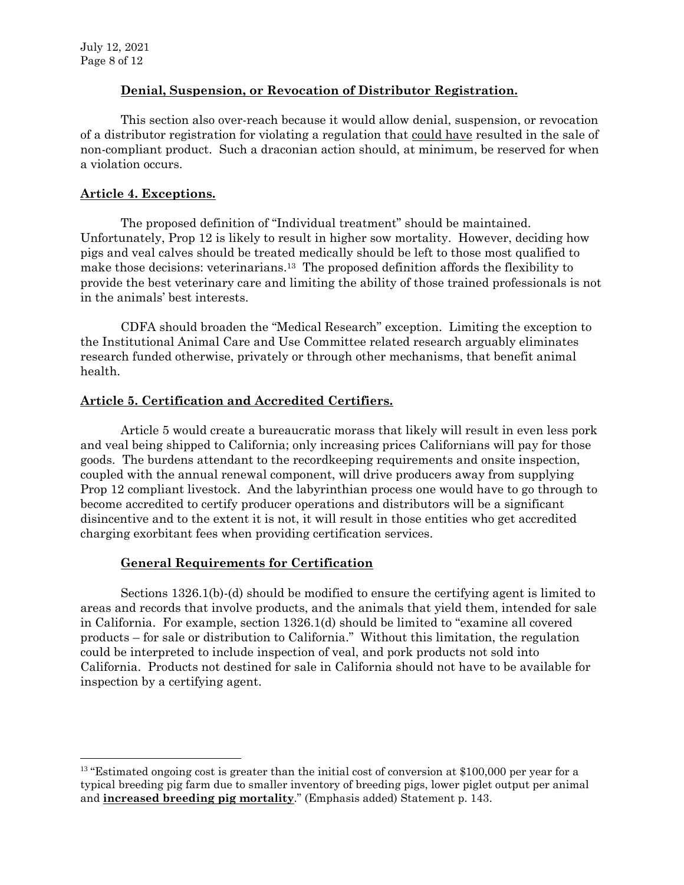$\overline{a}$ 

# **Denial, Suspension, or Revocation of Distributor Registration.**

This section also over-reach because it would allow denial, suspension, or revocation of a distributor registration for violating a regulation that could have resulted in the sale of non-compliant product. Such a draconian action should, at minimum, be reserved for when a violation occurs.

# **Article 4. Exceptions.**

The proposed definition of "Individual treatment" should be maintained. Unfortunately, Prop 12 is likely to result in higher sow mortality. However, deciding how pigs and veal calves should be treated medically should be left to those most qualified to make those decisions: veterinarians.<sup>13</sup> The proposed definition affords the flexibility to provide the best veterinary care and limiting the ability of those trained professionals is not in the animals' best interests.

CDFA should broaden the "Medical Research" exception. Limiting the exception to the Institutional Animal Care and Use Committee related research arguably eliminates research funded otherwise, privately or through other mechanisms, that benefit animal health.

# **Article 5. Certification and Accredited Certifiers.**

Article 5 would create a bureaucratic morass that likely will result in even less pork and veal being shipped to California; only increasing prices Californians will pay for those goods. The burdens attendant to the recordkeeping requirements and onsite inspection, coupled with the annual renewal component, will drive producers away from supplying Prop 12 compliant livestock. And the labyrinthian process one would have to go through to become accredited to certify producer operations and distributors will be a significant disincentive and to the extent it is not, it will result in those entities who get accredited charging exorbitant fees when providing certification services.

# **General Requirements for Certification**

Sections 1326.1(b)-(d) should be modified to ensure the certifying agent is limited to areas and records that involve products, and the animals that yield them, intended for sale in California. For example, section 1326.1(d) should be limited to "examine all covered products – for sale or distribution to California." Without this limitation, the regulation could be interpreted to include inspection of veal, and pork products not sold into California. Products not destined for sale in California should not have to be available for inspection by a certifying agent.

<sup>&</sup>lt;sup>13</sup> "Estimated ongoing cost is greater than the initial cost of conversion at \$100,000 per year for a typical breeding pig farm due to smaller inventory of breeding pigs, lower piglet output per animal and **increased breeding pig mortality**." (Emphasis added) Statement p. 143.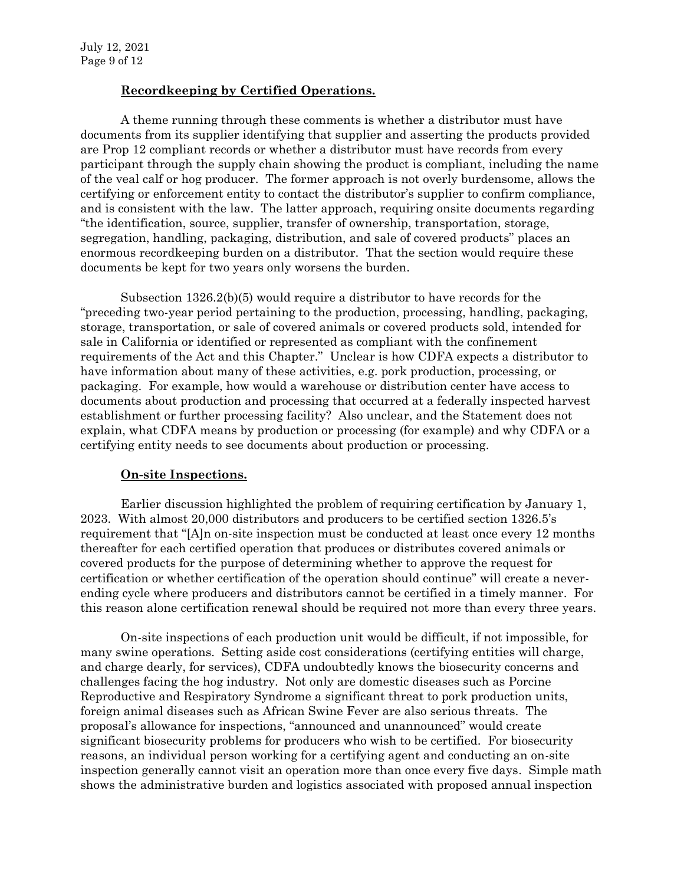# **Recordkeeping by Certified Operations.**

A theme running through these comments is whether a distributor must have documents from its supplier identifying that supplier and asserting the products provided are Prop 12 compliant records or whether a distributor must have records from every participant through the supply chain showing the product is compliant, including the name of the veal calf or hog producer. The former approach is not overly burdensome, allows the certifying or enforcement entity to contact the distributor's supplier to confirm compliance, and is consistent with the law. The latter approach, requiring onsite documents regarding "the identification, source, supplier, transfer of ownership, transportation, storage, segregation, handling, packaging, distribution, and sale of covered products" places an enormous recordkeeping burden on a distributor. That the section would require these documents be kept for two years only worsens the burden.

Subsection 1326.2(b)(5) would require a distributor to have records for the "preceding two-year period pertaining to the production, processing, handling, packaging, storage, transportation, or sale of covered animals or covered products sold, intended for sale in California or identified or represented as compliant with the confinement requirements of the Act and this Chapter." Unclear is how CDFA expects a distributor to have information about many of these activities, e.g. pork production, processing, or packaging. For example, how would a warehouse or distribution center have access to documents about production and processing that occurred at a federally inspected harvest establishment or further processing facility? Also unclear, and the Statement does not explain, what CDFA means by production or processing (for example) and why CDFA or a certifying entity needs to see documents about production or processing.

### **On-site Inspections.**

Earlier discussion highlighted the problem of requiring certification by January 1, 2023. With almost 20,000 distributors and producers to be certified section 1326.5's requirement that "[A]n on-site inspection must be conducted at least once every 12 months thereafter for each certified operation that produces or distributes covered animals or covered products for the purpose of determining whether to approve the request for certification or whether certification of the operation should continue" will create a neverending cycle where producers and distributors cannot be certified in a timely manner. For this reason alone certification renewal should be required not more than every three years.

On-site inspections of each production unit would be difficult, if not impossible, for many swine operations. Setting aside cost considerations (certifying entities will charge, and charge dearly, for services), CDFA undoubtedly knows the biosecurity concerns and challenges facing the hog industry. Not only are domestic diseases such as Porcine Reproductive and Respiratory Syndrome a significant threat to pork production units, foreign animal diseases such as African Swine Fever are also serious threats. The proposal's allowance for inspections, "announced and unannounced" would create significant biosecurity problems for producers who wish to be certified. For biosecurity reasons, an individual person working for a certifying agent and conducting an on-site inspection generally cannot visit an operation more than once every five days. Simple math shows the administrative burden and logistics associated with proposed annual inspection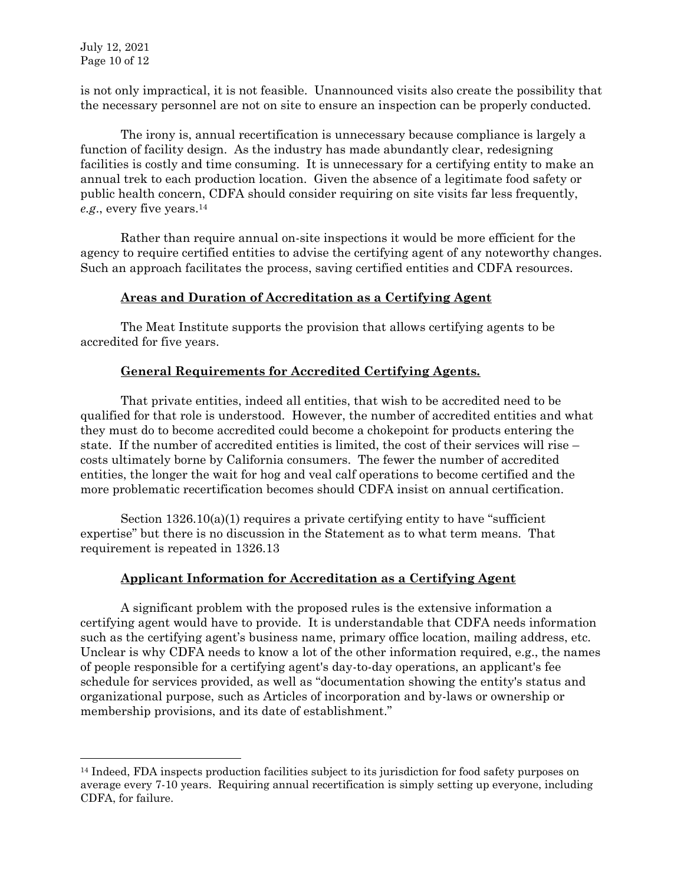$\overline{a}$ 

is not only impractical, it is not feasible. Unannounced visits also create the possibility that the necessary personnel are not on site to ensure an inspection can be properly conducted.

The irony is, annual recertification is unnecessary because compliance is largely a function of facility design. As the industry has made abundantly clear, redesigning facilities is costly and time consuming. It is unnecessary for a certifying entity to make an annual trek to each production location. Given the absence of a legitimate food safety or public health concern, CDFA should consider requiring on site visits far less frequently, *e.g.*, every five years.<sup>14</sup>

Rather than require annual on-site inspections it would be more efficient for the agency to require certified entities to advise the certifying agent of any noteworthy changes. Such an approach facilitates the process, saving certified entities and CDFA resources.

## **Areas and Duration of Accreditation as a Certifying Agent**

The Meat Institute supports the provision that allows certifying agents to be accredited for five years.

# **General Requirements for Accredited Certifying Agents.**

That private entities, indeed all entities, that wish to be accredited need to be qualified for that role is understood. However, the number of accredited entities and what they must do to become accredited could become a chokepoint for products entering the state. If the number of accredited entities is limited, the cost of their services will rise – costs ultimately borne by California consumers. The fewer the number of accredited entities, the longer the wait for hog and veal calf operations to become certified and the more problematic recertification becomes should CDFA insist on annual certification.

Section  $1326.10(a)(1)$  requires a private certifying entity to have "sufficient" expertise" but there is no discussion in the Statement as to what term means. That requirement is repeated in 1326.13

# **Applicant Information for Accreditation as a Certifying Agent**

A significant problem with the proposed rules is the extensive information a certifying agent would have to provide. It is understandable that CDFA needs information such as the certifying agent's business name, primary office location, mailing address, etc. Unclear is why CDFA needs to know a lot of the other information required, e.g., the names of people responsible for a certifying agent's day-to-day operations, an applicant's fee schedule for services provided, as well as "documentation showing the entity's status and organizational purpose, such as Articles of incorporation and by-laws or ownership or membership provisions, and its date of establishment."

<sup>14</sup> Indeed, FDA inspects production facilities subject to its jurisdiction for food safety purposes on average every 7-10 years. Requiring annual recertification is simply setting up everyone, including CDFA, for failure.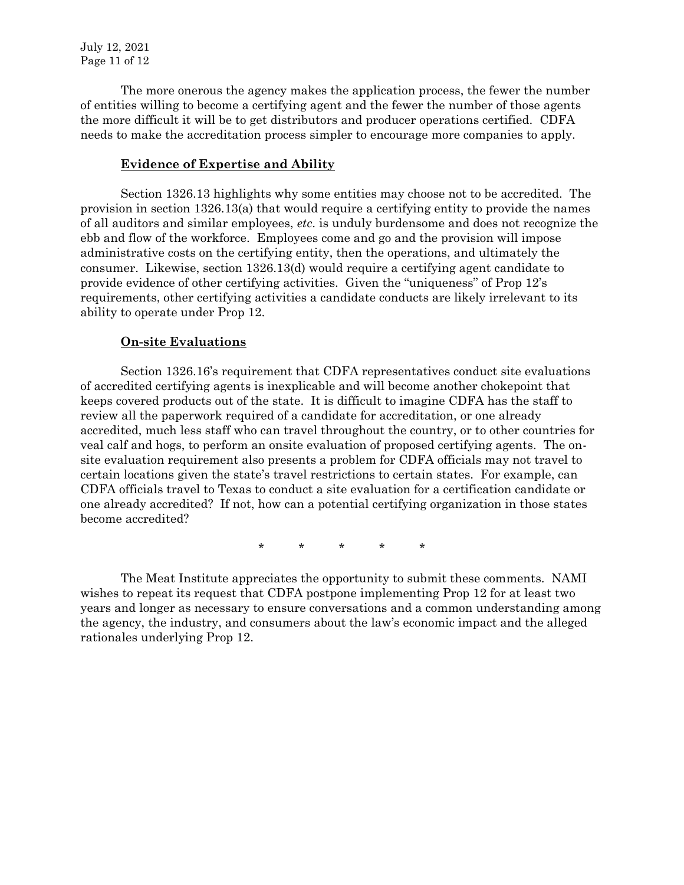The more onerous the agency makes the application process, the fewer the number of entities willing to become a certifying agent and the fewer the number of those agents the more difficult it will be to get distributors and producer operations certified. CDFA needs to make the accreditation process simpler to encourage more companies to apply.

### **Evidence of Expertise and Ability**

Section 1326.13 highlights why some entities may choose not to be accredited. The provision in section 1326.13(a) that would require a certifying entity to provide the names of all auditors and similar employees, *etc*. is unduly burdensome and does not recognize the ebb and flow of the workforce. Employees come and go and the provision will impose administrative costs on the certifying entity, then the operations, and ultimately the consumer. Likewise, section 1326.13(d) would require a certifying agent candidate to provide evidence of other certifying activities. Given the "uniqueness" of Prop 12's requirements, other certifying activities a candidate conducts are likely irrelevant to its ability to operate under Prop 12.

## **On-site Evaluations**

Section 1326.16's requirement that CDFA representatives conduct site evaluations of accredited certifying agents is inexplicable and will become another chokepoint that keeps covered products out of the state. It is difficult to imagine CDFA has the staff to review all the paperwork required of a candidate for accreditation, or one already accredited, much less staff who can travel throughout the country, or to other countries for veal calf and hogs, to perform an onsite evaluation of proposed certifying agents. The onsite evaluation requirement also presents a problem for CDFA officials may not travel to certain locations given the state's travel restrictions to certain states. For example, can CDFA officials travel to Texas to conduct a site evaluation for a certification candidate or one already accredited? If not, how can a potential certifying organization in those states become accredited?

\* \* \* \* \*

The Meat Institute appreciates the opportunity to submit these comments. NAMI wishes to repeat its request that CDFA postpone implementing Prop 12 for at least two years and longer as necessary to ensure conversations and a common understanding among the agency, the industry, and consumers about the law's economic impact and the alleged rationales underlying Prop 12.